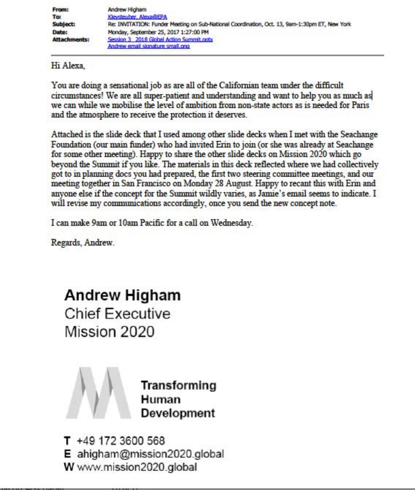| <b>From:</b>        | Andrew Higham                                                                                 |  |  |  |
|---------------------|-----------------------------------------------------------------------------------------------|--|--|--|
| To:                 | Kleysteuber, Alexa@EPA                                                                        |  |  |  |
| <b>Subject:</b>     | Re: INVITATION: Funder Meeting on Sub-National Coordination, Oct. 13, 9am-1:30pm ET, New York |  |  |  |
| Date:               | Monday, September 25, 2017 1:27:00 PM                                                         |  |  |  |
| <b>Attachments:</b> | Session 3 2018 Global Action Summit.cobs                                                      |  |  |  |
|                     | Andrew email signature small.ong                                                              |  |  |  |

Hi Alexa

You are doing a sensational job as are all of the Californian team under the difficult circumstances! We are all super-patient and understanding and want to help you as much as we can while we mobilise the level of ambition from non-state actors as is needed for Paris and the atmosphere to receive the protection it deserves.

Attached is the slide deck that I used among other slide decks when I met with the Seachange Foundation (our main funder) who had invited Erin to join (or she was already at Seachange for some other meeting). Happy to share the other slide decks on Mission 2020 which go beyond the Summit if you like. The materials in this deck reflected where we had collectively got to in planning does you had prepared, the first two steering committee meetings, and our meeting together in San Francisco on Monday 28 August. Happy to recant this with Erin and anyone else if the concept for the Summit wildly varies, as Jamie's email seems to indicate. I will revise my communications accordingly, once you send the new concept note.

I can make 9am or 10am Pacific for a call on Wednesday.

Regards, Andrew.

**Andrew Higham** Chief Executive Mission 2020



T +49 172 3600 568 E ahigham@mission2020.global W www.mission2020.global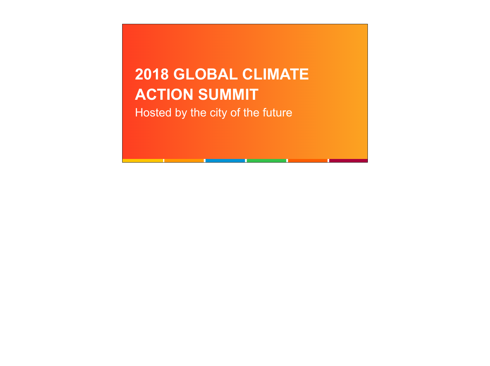## **2018 GLOBAL CLIMATE ACTION SUMMIT** Hosted by the city of the future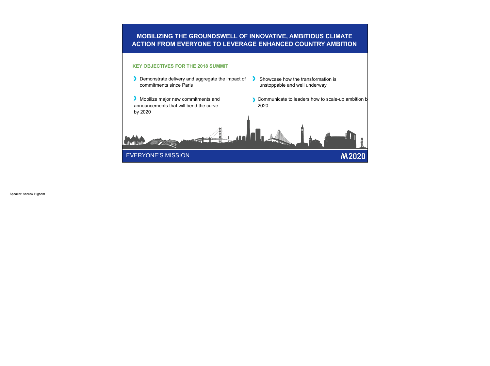## **MOBILIZING THE GROUNDSWELL OF INNOVATIVE, AMBITIOUS CLIMATE ACTION FROM EVERYONE TO LEVERAGE ENHANCED COUNTRY AMBITION**



Speaker: Andrew Higham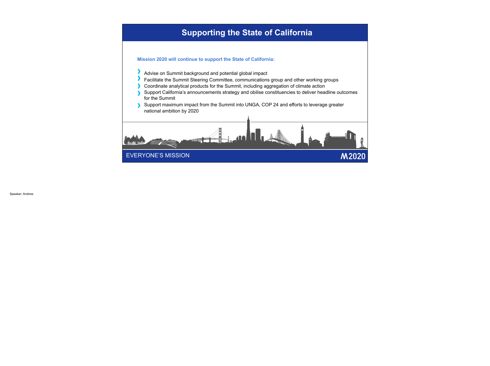## **Supporting the State of California**

**Mission 2020 will continue to support the State of California:**

- Advise on Summit background and potential global impact
- Facilitate the Summit Steering Committee, communications group and other working groups
- Coordinate analytical products for the Summit, including aggregation of climate action
- Support California's announcements strategy and obilise constituencies to deliver headline outcomes for the Summit
- Support maximum impact from the Summit into UNGA, COP 24 and efforts to leverage greater national ambition by 2020

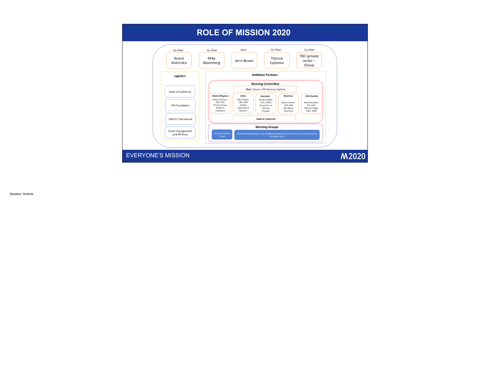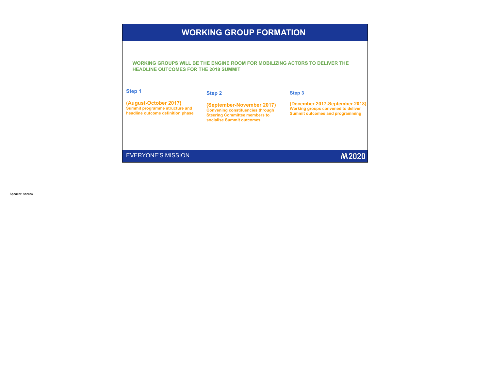## **WORKING GROUP FORMATION**

i **HEADLINE OUTCOMES FOR THE 2018 SUMMIT WORKING GROUPS WILL BE THE ENGINE ROOM FOR MOBILIZING ACTORS TO DELIVER THE** 

| Step 1                                                                                       | <b>Step 2</b>                                                                                                                             | Step 3                                                                                                                |
|----------------------------------------------------------------------------------------------|-------------------------------------------------------------------------------------------------------------------------------------------|-----------------------------------------------------------------------------------------------------------------------|
| (August-October 2017)<br>Summit programme structure and<br>headline outcome definition phase | (September-November 2017)<br><b>Convening constituencies through</b><br><b>Steering Committee members to</b><br>socialise Summit outcomes | (December 2017-September 2018)<br><b>Working groups convened to deliver</b><br><b>Summit outcomes and programming</b> |
| <b>EVERYONE'S MISSION</b>                                                                    |                                                                                                                                           | <b>M2020</b>                                                                                                          |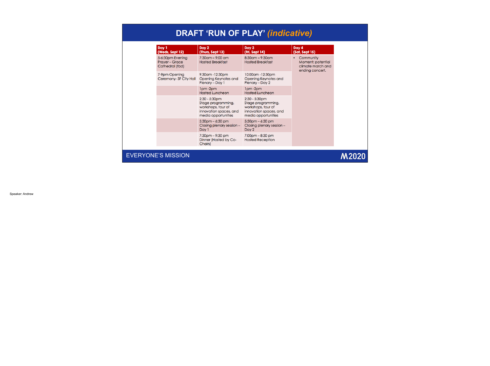| <b>DRAFT 'RUN OF PLAY' (indicative)</b> |  |
|-----------------------------------------|--|
|-----------------------------------------|--|

| Day 1<br>(Weds, Sept 12)                                     | Day 2<br>(Thurs, Sept 13)                                                                                     | Day 3<br>(Fri, Sept 14)                                                                                       | Day 4<br>(Sat, Sept 15)                                                |  |
|--------------------------------------------------------------|---------------------------------------------------------------------------------------------------------------|---------------------------------------------------------------------------------------------------------------|------------------------------------------------------------------------|--|
| 5-6:30pm Evening<br><b>Prayer - Grace</b><br>Cathedral (tbd) | $7:30$ am – 9:00 am<br><b>Hosted Breakfast</b>                                                                | $8:30$ am – 9:30am<br><b>Hosted Breakfast</b>                                                                 | Community<br>Moment: potential<br>climate march and<br>ending concert. |  |
| 7-9pm Opening<br>Ceremony-SF City Hall                       | 9:30am -12:30pm<br>Opening Keynotes and<br>Plenary – Day 1                                                    | 10:00am -12:30pm<br>Opening Keynotes and<br>Plenary - Day 2                                                   |                                                                        |  |
|                                                              | Ipm-2pm<br><b>Hosted Luncheon</b>                                                                             | $1pm$ -2 $pm$<br><b>Hosted Luncheon</b>                                                                       |                                                                        |  |
|                                                              | $2:30 - 5:30$ pm<br>Stage programming,<br>workshops, tour of<br>innovation spaces, and<br>media opportunities | $2:30 - 5:30$ pm<br>Stage programming,<br>workshops, tour of<br>innovation spaces, and<br>media opportunities |                                                                        |  |
|                                                              | $5:30$ pm $-6:30$ pm<br>Closing plenary session -<br>Day 1                                                    | $5:30$ pm $-6:30$ pm<br>Closing plenary session -<br>Day 2                                                    |                                                                        |  |
|                                                              | $7:30$ pm $-9:30$ pm<br>Dinner (Hosted by Co-<br>Chairs)                                                      | $7:00$ pm $-8:30$ pm<br><b>Hosted Reception</b>                                                               |                                                                        |  |
| <b>EVERYONE'S MISSION</b>                                    |                                                                                                               |                                                                                                               |                                                                        |  |